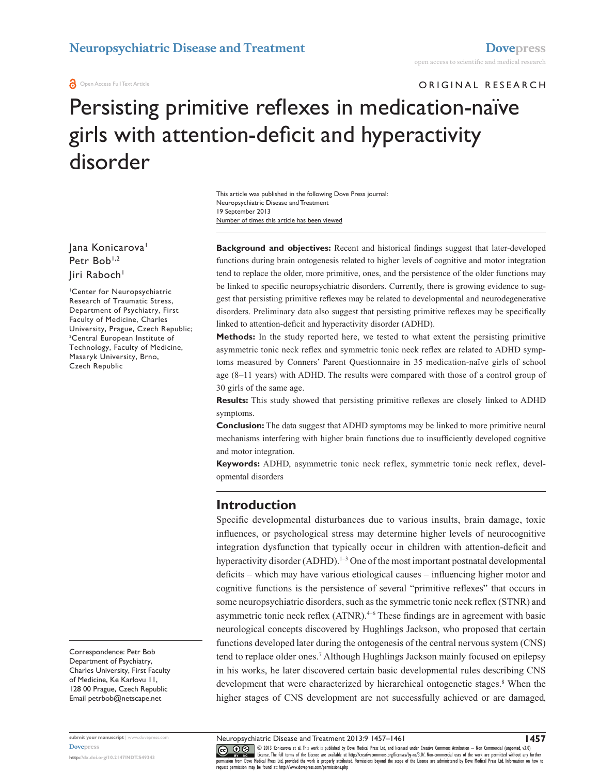**O** Open Access Full Text Article

ORIGINAL RESEARCH

# Persisting primitive reflexes in medication-naïve girls with attention-deficit and hyperactivity disorder

Number of times this article has been viewed This article was published in the following Dove Press journal: Neuropsychiatric Disease and Treatment 19 September 2013

Jana Konicarova<sup>1</sup> Petr Bob<sup>1,2</sup> Jiri Raboch<sup>1</sup>

1 Center for Neuropsychiatric Research of Traumatic Stress, Department of Psychiatry, First Faculty of Medicine, Charles University, Prague, Czech Republic; 2 Central European Institute of Technology, Faculty of Medicine, Masaryk University, Brno, Czech Republic

Correspondence: Petr Bob Department of Psychiatry, Charles University, First Faculty of Medicine, Ke Karlovu 11, 128 00 Prague, Czech Republic Email [petrbob@netscape.net](mailto:petrbob@netscape.net)

**submit your manuscript** | <www.dovepress.com> **[Dovepress](www.dovepress.com)**

**<http://dx.doi.org/10.2147/NDT.S49343>**

**Background and objectives:** Recent and historical findings suggest that later-developed functions during brain ontogenesis related to higher levels of cognitive and motor integration tend to replace the older, more primitive, ones, and the persistence of the older functions may be linked to specific neuropsychiatric disorders. Currently, there is growing evidence to suggest that persisting primitive reflexes may be related to developmental and neurodegenerative disorders. Preliminary data also suggest that persisting primitive reflexes may be specifically linked to attention-deficit and hyperactivity disorder (ADHD).

**Methods:** In the study reported here, we tested to what extent the persisting primitive asymmetric tonic neck reflex and symmetric tonic neck reflex are related to ADHD symptoms measured by Conners' Parent Questionnaire in 35 medication-naïve girls of school age (8–11 years) with ADHD. The results were compared with those of a control group of 30 girls of the same age.

**Results:** This study showed that persisting primitive reflexes are closely linked to ADHD symptoms.

**Conclusion:** The data suggest that ADHD symptoms may be linked to more primitive neural mechanisms interfering with higher brain functions due to insufficiently developed cognitive and motor integration.

**Keywords:** ADHD, asymmetric tonic neck reflex, symmetric tonic neck reflex, developmental disorders

## **Introduction**

Specific developmental disturbances due to various insults, brain damage, toxic influences, or psychological stress may determine higher levels of neurocognitive integration dysfunction that typically occur in children with attention-deficit and hyperactivity disorder  $(ADHD)$ .<sup>1–3</sup> One of the most important postnatal developmental deficits – which may have various etiological causes – influencing higher motor and cognitive functions is the persistence of several "primitive reflexes" that occurs in some neuropsychiatric disorders, such as the symmetric tonic neck reflex (STNR) and asymmetric tonic neck reflex  $(ATNR)$ .<sup>4-6</sup> These findings are in agreement with basic neurological concepts discovered by Hughlings Jackson, who proposed that certain functions developed later during the ontogenesis of the central nervous system (CNS) tend to replace older ones.<sup>7</sup> Although Hughlings Jackson mainly focused on epilepsy in his works, he later discovered certain basic developmental rules describing CNS development that were characterized by hierarchical ontogenetic stages.<sup>8</sup> When the higher stages of CNS development are not successfully achieved or are damaged,

Neuropsychiatric Disease and Treatment 2013:9 1457–1461

CO ODI3 Konicarova et al. This work is published by Dove Medical Press Ltd, and licensed under Creative Commons Attribution — Non Commercial (unported, v3.0)<br> [permission from Dove M](http://www.dovepress.com/permissions.php)edical Press Ltd, provided the Work: is p request permission may be found at: http://www.dovepress.com/permissions.php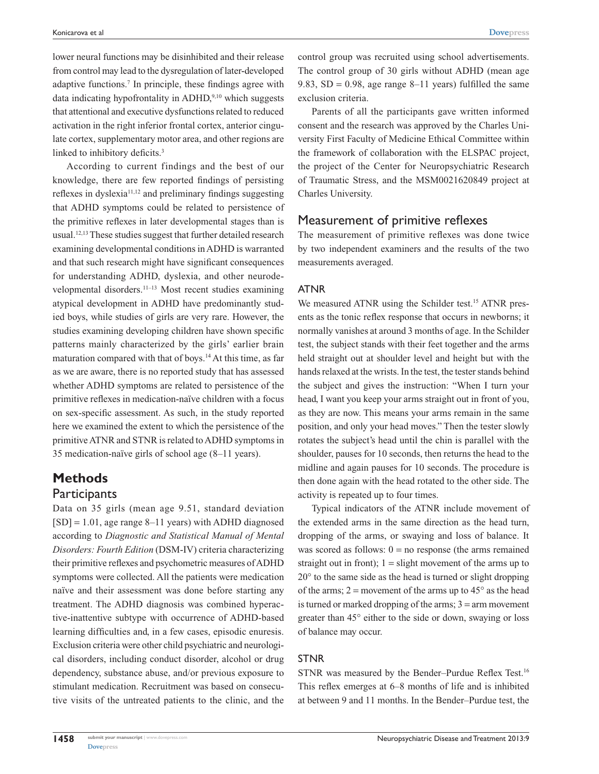lower neural functions may be disinhibited and their release from control may lead to the dysregulation of later-developed adaptive functions.<sup>7</sup> In principle, these findings agree with data indicating hypofrontality in  $ADHD<sub>10</sub><sup>9,10</sup>$  which suggests that attentional and executive dysfunctions related to reduced activation in the right inferior frontal cortex, anterior cingulate cortex, supplementary motor area, and other regions are linked to inhibitory deficits.<sup>3</sup>

According to current findings and the best of our knowledge, there are few reported findings of persisting reflexes in dyslexia<sup>11,12</sup> and preliminary findings suggesting that ADHD symptoms could be related to persistence of the primitive reflexes in later developmental stages than is usual.<sup>12,13</sup> These studies suggest that further detailed research examining developmental conditions in ADHD is warranted and that such research might have significant consequences for understanding ADHD, dyslexia, and other neurodevelopmental disorders.11–13 Most recent studies examining atypical development in ADHD have predominantly studied boys, while studies of girls are very rare. However, the studies examining developing children have shown specific patterns mainly characterized by the girls' earlier brain maturation compared with that of boys.<sup>14</sup> At this time, as far as we are aware, there is no reported study that has assessed whether ADHD symptoms are related to persistence of the primitive reflexes in medication-naïve children with a focus on sex-specific assessment. As such, in the study reported here we examined the extent to which the persistence of the primitive ATNR and STNR is related to ADHD symptoms in 35 medication-naïve girls of school age (8–11 years).

## **Methods**

## **Participants**

Data on 35 girls (mean age 9.51, standard deviation  $[SD] = 1.01$ , age range 8–11 years) with ADHD diagnosed according to *Diagnostic and Statistical Manual of Mental Disorders: Fourth Edition* (DSM-IV) criteria characterizing their primitive reflexes and psychometric measures of ADHD symptoms were collected. All the patients were medication naïve and their assessment was done before starting any treatment. The ADHD diagnosis was combined hyperactive-inattentive subtype with occurrence of ADHD-based learning difficulties and, in a few cases, episodic enuresis. Exclusion criteria were other child psychiatric and neurological disorders, including conduct disorder, alcohol or drug dependency, substance abuse, and/or previous exposure to stimulant medication. Recruitment was based on consecutive visits of the untreated patients to the clinic, and the control group was recruited using school advertisements. The control group of 30 girls without ADHD (mean age 9.83,  $SD = 0.98$ , age range 8–11 years) fulfilled the same exclusion criteria.

Parents of all the participants gave written informed consent and the research was approved by the Charles University First Faculty of Medicine Ethical Committee within the framework of collaboration with the ELSPAC project, the project of the Center for Neuropsychiatric Research of Traumatic Stress, and the MSM0021620849 project at Charles University.

### Measurement of primitive reflexes

The measurement of primitive reflexes was done twice by two independent examiners and the results of the two measurements averaged.

#### ATNR

We measured ATNR using the Schilder test.<sup>15</sup> ATNR presents as the tonic reflex response that occurs in newborns; it normally vanishes at around 3 months of age. In the Schilder test, the subject stands with their feet together and the arms held straight out at shoulder level and height but with the hands relaxed at the wrists. In the test, the tester stands behind the subject and gives the instruction: "When I turn your head, I want you keep your arms straight out in front of you, as they are now. This means your arms remain in the same position, and only your head moves." Then the tester slowly rotates the subject's head until the chin is parallel with the shoulder, pauses for 10 seconds, then returns the head to the midline and again pauses for 10 seconds. The procedure is then done again with the head rotated to the other side. The activity is repeated up to four times.

Typical indicators of the ATNR include movement of the extended arms in the same direction as the head turn, dropping of the arms, or swaying and loss of balance. It was scored as follows:  $0 = no$  response (the arms remained straight out in front);  $1 =$  slight movement of the arms up to 20° to the same side as the head is turned or slight dropping of the arms;  $2 =$  movement of the arms up to  $45^{\circ}$  as the head is turned or marked dropping of the arms; 3 = arm movement greater than 45° either to the side or down, swaying or loss of balance may occur.

#### STNR

STNR was measured by the Bender–Purdue Reflex Test.<sup>16</sup> This reflex emerges at 6–8 months of life and is inhibited at between 9 and 11 months. In the Bender–Purdue test, the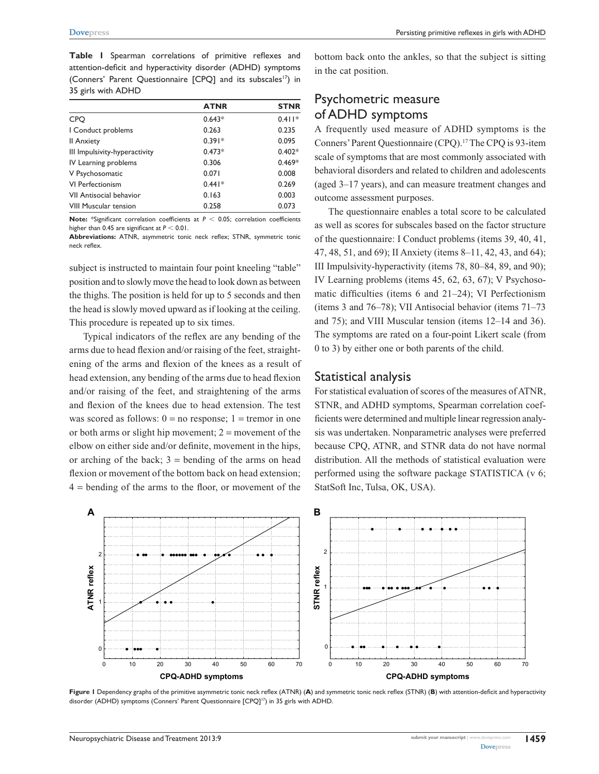**Table 1** Spearman correlations of primitive reflexes and attention-deficit and hyperactivity disorder (ADHD) symptoms (Conners' Parent Questionnaire [CPQ] and its subscales<sup>17</sup>) in 35 girls with ADHD

|                                | <b>ATNR</b> | <b>STNR</b> |
|--------------------------------|-------------|-------------|
| <b>CPQ</b>                     | $0.643*$    | $0.411*$    |
| I Conduct problems             | 0.263       | 0.235       |
| <b>II Anxiety</b>              | $0.391*$    | 0.095       |
| III Impulsivity-hyperactivity  | $0.473*$    | $0.402*$    |
| IV Learning problems           | 0.306       | $0.469*$    |
| V Psychosomatic                | 0.071       | 0.008       |
| VI Perfectionism               | $0.441*$    | 0.269       |
| <b>VII Antisocial behavior</b> | 0.163       | 0.003       |
| <b>VIII Muscular tension</b>   | 0.258       | 0.073       |

**Note:** \*Significant correlation coefficients at  $P < 0.05$ ; correlation coefficients higher than  $0.45$  are significant at  $P < 0.01$ .

**Abbreviations:** ATNR, asymmetric tonic neck reflex; STNR, symmetric tonic neck reflex.

subject is instructed to maintain four point kneeling "table" position and to slowly move the head to look down as between the thighs. The position is held for up to 5 seconds and then the head is slowly moved upward as if looking at the ceiling. This procedure is repeated up to six times.

Typical indicators of the reflex are any bending of the arms due to head flexion and/or raising of the feet, straightening of the arms and flexion of the knees as a result of head extension, any bending of the arms due to head flexion and/or raising of the feet, and straightening of the arms and flexion of the knees due to head extension. The test was scored as follows:  $0 = no$  response;  $1 =$  tremor in one or both arms or slight hip movement;  $2 =$  movement of the elbow on either side and/or definite, movement in the hips, or arching of the back;  $3 =$  bending of the arms on head flexion or movement of the bottom back on head extension; 4 = bending of the arms to the floor, or movement of the

bottom back onto the ankles, so that the subject is sitting in the cat position.

## Psychometric measure of ADHD symptoms

A frequently used measure of ADHD symptoms is the Conners' Parent Questionnaire (CPQ).17 The CPQ is 93-item scale of symptoms that are most commonly associated with behavioral disorders and related to children and adolescents (aged 3–17 years), and can measure treatment changes and outcome assessment purposes.

The questionnaire enables a total score to be calculated as well as scores for subscales based on the factor structure of the questionnaire: I Conduct problems (items 39, 40, 41, 47, 48, 51, and 69); II Anxiety (items 8–11, 42, 43, and 64); III Impulsivity-hyperactivity (items 78, 80–84, 89, and 90); IV Learning problems (items 45, 62, 63, 67); V Psychosomatic difficulties (items 6 and 21–24); VI Perfectionism (items 3 and 76–78); VII Antisocial behavior (items 71–73 and 75); and VIII Muscular tension (items 12–14 and 36). The symptoms are rated on a four-point Likert scale (from 0 to 3) by either one or both parents of the child.

#### Statistical analysis

For statistical evaluation of scores of the measures of ATNR, STNR, and ADHD symptoms, Spearman correlation coefficients were determined and multiple linear regression analysis was undertaken. Nonparametric analyses were preferred because CPQ, ATNR, and STNR data do not have normal distribution. All the methods of statistical evaluation were performed using the software package STATISTICA (v 6; StatSoft Inc, Tulsa, OK, USA).



**Figure 1** Dependency graphs of the primitive asymmetric tonic neck reflex (ATNR) (**A**) and symmetric tonic neck reflex (STNR) (**B**) with attention-deficit and hyperactivity disorder (ADHD) symptoms (Conners' Parent Questionnaire [CPQ]<sup>17</sup>) in 35 girls with ADHD.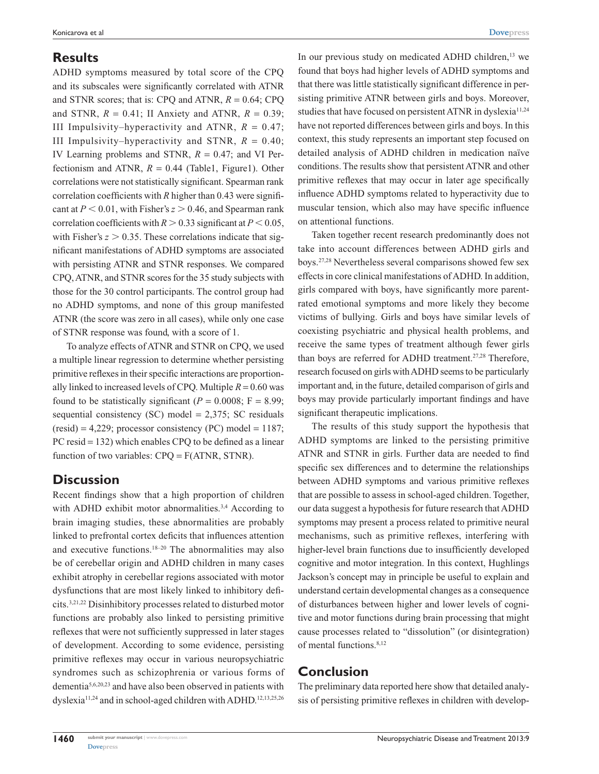## **Results**

ADHD symptoms measured by total score of the CPQ and its subscales were significantly correlated with ATNR and STNR scores; that is: CPQ and ATNR, *R* = 0.64; CPQ and STNR,  $R = 0.41$ ; II Anxiety and ATNR,  $R = 0.39$ ; III Impulsivity–hyperactivity and ATNR, *R* = 0.47; III Impulsivity–hyperactivity and STNR, *R* = 0.40; IV Learning problems and STNR, *R* = 0.47; and VI Perfectionism and ATNR,  $R = 0.44$  (Table1, Figure1). Other correlations were not statistically significant. Spearman rank correlation coefficients with *R* higher than 0.43 were significant at  $P < 0.01$ , with Fisher's  $z > 0.46$ , and Spearman rank correlation coefficients with  $R > 0.33$  significant at  $P < 0.05$ , with Fisher's  $z > 0.35$ . These correlations indicate that significant manifestations of ADHD symptoms are associated with persisting ATNR and STNR responses. We compared CPQ, ATNR, and STNR scores for the 35 study subjects with those for the 30 control participants. The control group had no ADHD symptoms, and none of this group manifested ATNR (the score was zero in all cases), while only one case of STNR response was found, with a score of 1.

To analyze effects of ATNR and STNR on CPQ, we used a multiple linear regression to determine whether persisting primitive reflexes in their specific interactions are proportionally linked to increased levels of CPQ. Multiple  $R = 0.60$  was found to be statistically significant ( $P = 0.0008$ ; F = 8.99; sequential consistency (SC) model =  $2,375$ ; SC residuals  $(resid) = 4,229$ ; processor consistency (PC) model = 1187; PC resid = 132) which enables CPO to be defined as a linear function of two variables:  $CPQ = F(ATNR, STNR)$ .

## **Discussion**

Recent findings show that a high proportion of children with ADHD exhibit motor abnormalities.<sup>3,4</sup> According to brain imaging studies, these abnormalities are probably linked to prefrontal cortex deficits that influences attention and executive functions.18–20 The abnormalities may also be of cerebellar origin and ADHD children in many cases exhibit atrophy in cerebellar regions associated with motor dysfunctions that are most likely linked to inhibitory deficits.3,21,22 Disinhibitory processes related to disturbed motor functions are probably also linked to persisting primitive reflexes that were not sufficiently suppressed in later stages of development. According to some evidence, persisting primitive reflexes may occur in various neuropsychiatric syndromes such as schizophrenia or various forms of dementia5,6,20,23 and have also been observed in patients with dyslexia<sup>11,24</sup> and in school-aged children with ADHD.<sup>12,13,25,26</sup> In our previous study on medicated ADHD children,<sup>13</sup> we found that boys had higher levels of ADHD symptoms and that there was little statistically significant difference in persisting primitive ATNR between girls and boys. Moreover, studies that have focused on persistent ATNR in dyslexia<sup>11,24</sup> have not reported differences between girls and boys. In this context, this study represents an important step focused on detailed analysis of ADHD children in medication naïve conditions. The results show that persistent ATNR and other primitive reflexes that may occur in later age specifically influence ADHD symptoms related to hyperactivity due to muscular tension, which also may have specific influence on attentional functions.

Taken together recent research predominantly does not take into account differences between ADHD girls and boys.27,28 Nevertheless several comparisons showed few sex effects in core clinical manifestations of ADHD. In addition, girls compared with boys, have significantly more parentrated emotional symptoms and more likely they become victims of bullying. Girls and boys have similar levels of coexisting psychiatric and physical health problems, and receive the same types of treatment although fewer girls than boys are referred for ADHD treatment.<sup>27,28</sup> Therefore, research focused on girls with ADHD seems to be particularly important and, in the future, detailed comparison of girls and boys may provide particularly important findings and have significant therapeutic implications.

The results of this study support the hypothesis that ADHD symptoms are linked to the persisting primitive ATNR and STNR in girls. Further data are needed to find specific sex differences and to determine the relationships between ADHD symptoms and various primitive reflexes that are possible to assess in school-aged children. Together, our data suggest a hypothesis for future research that ADHD symptoms may present a process related to primitive neural mechanisms, such as primitive reflexes, interfering with higher-level brain functions due to insufficiently developed cognitive and motor integration. In this context, Hughlings Jackson's concept may in principle be useful to explain and understand certain developmental changes as a consequence of disturbances between higher and lower levels of cognitive and motor functions during brain processing that might cause processes related to "dissolution" (or disintegration) of mental functions.8,12

## **Conclusion**

The preliminary data reported here show that detailed analysis of persisting primitive reflexes in children with develop